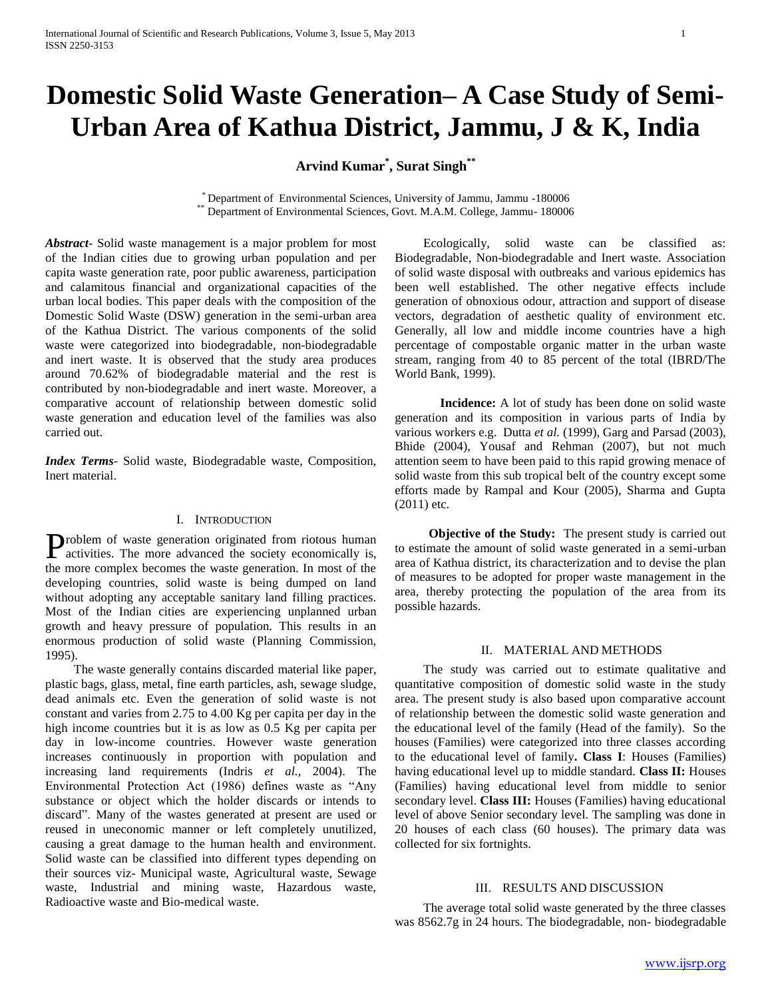# **Domestic Solid Waste Generation– A Case Study of Semi-Urban Area of Kathua District, Jammu, J & K, India**

**Arvind Kumar\* , Surat Singh\*\***

\* Department of Environmental Sciences, University of Jammu, Jammu -180006 \*\* Department of Environmental Sciences, Govt. M.A.M. College, Jammu- 180006

*Abstract***-** Solid waste management is a major problem for most of the Indian cities due to growing urban population and per capita waste generation rate, poor public awareness, participation and calamitous financial and organizational capacities of the urban local bodies. This paper deals with the composition of the Domestic Solid Waste (DSW) generation in the semi-urban area of the Kathua District. The various components of the solid waste were categorized into biodegradable, non-biodegradable and inert waste. It is observed that the study area produces around 70.62% of biodegradable material and the rest is contributed by non-biodegradable and inert waste. Moreover, a comparative account of relationship between domestic solid waste generation and education level of the families was also carried out.

*Index Terms*- Solid waste, Biodegradable waste, Composition, Inert material.

## I. INTRODUCTION

roblem of waste generation originated from riotous human **Problem** of waste generation originated from riotous human activities. The more advanced the society economically is, the more complex becomes the waste generation. In most of the developing countries, solid waste is being dumped on land without adopting any acceptable sanitary land filling practices. Most of the Indian cities are experiencing unplanned urban growth and heavy pressure of population. This results in an enormous production of solid waste (Planning Commission, 1995).

 The waste generally contains discarded material like paper, plastic bags, glass, metal, fine earth particles, ash, sewage sludge, dead animals etc. Even the generation of solid waste is not constant and varies from 2.75 to 4.00 Kg per capita per day in the high income countries but it is as low as 0.5 Kg per capita per day in low-income countries. However waste generation increases continuously in proportion with population and increasing land requirements (Indris *et al.,* 2004). The Environmental Protection Act (1986) defines waste as "Any substance or object which the holder discards or intends to discard". Many of the wastes generated at present are used or reused in uneconomic manner or left completely unutilized, causing a great damage to the human health and environment. Solid waste can be classified into different types depending on their sources viz- Municipal waste, Agricultural waste, Sewage waste, Industrial and mining waste, Hazardous waste, Radioactive waste and Bio-medical waste.

 Ecologically, solid waste can be classified as: Biodegradable, Non-biodegradable and Inert waste. Association of solid waste disposal with outbreaks and various epidemics has been well established. The other negative effects include generation of obnoxious odour, attraction and support of disease vectors, degradation of aesthetic quality of environment etc. Generally, all low and middle income countries have a high percentage of compostable organic matter in the urban waste stream, ranging from 40 to 85 percent of the total (IBRD/The World Bank, 1999).

**Incidence:** A lot of study has been done on solid waste generation and its composition in various parts of India by various workers e.g. Dutta *et al.* (1999), Garg and Parsad (2003), Bhide (2004), Yousaf and Rehman (2007), but not much attention seem to have been paid to this rapid growing menace of solid waste from this sub tropical belt of the country except some efforts made by Rampal and Kour (2005), Sharma and Gupta (2011) etc.

**Objective of the Study:** The present study is carried out to estimate the amount of solid waste generated in a semi-urban area of Kathua district, its characterization and to devise the plan of measures to be adopted for proper waste management in the area, thereby protecting the population of the area from its possible hazards.

#### II. MATERIAL AND METHODS

 The study was carried out to estimate qualitative and quantitative composition of domestic solid waste in the study area. The present study is also based upon comparative account of relationship between the domestic solid waste generation and the educational level of the family (Head of the family). So the houses (Families) were categorized into three classes according to the educational level of family**. Class I**: Houses (Families) having educational level up to middle standard. **Class II:** Houses (Families) having educational level from middle to senior secondary level. **Class III:** Houses (Families) having educational level of above Senior secondary level. The sampling was done in 20 houses of each class (60 houses). The primary data was collected for six fortnights.

### III. RESULTS AND DISCUSSION

 The average total solid waste generated by the three classes was 8562.7g in 24 hours. The biodegradable, non- biodegradable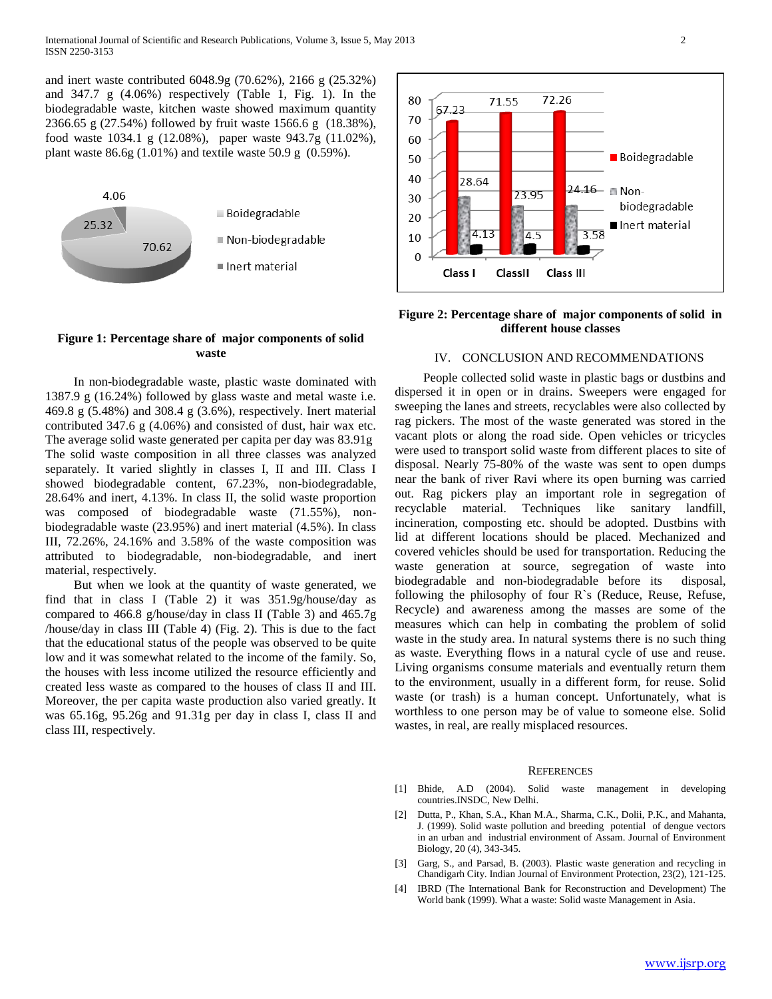and inert waste contributed 6048.9g (70.62%), 2166 g (25.32%) and 347.7 g (4.06%) respectively (Table 1, Fig. 1). In the biodegradable waste, kitchen waste showed maximum quantity 2366.65 g (27.54%) followed by fruit waste 1566.6 g (18.38%), food waste 1034.1 g (12.08%), paper waste 943.7g (11.02%), plant waste  $86.6g(1.01\%)$  and textile waste  $50.9g(0.59\%).$ 



#### **Figure 1: Percentage share of major components of solid waste**

 In non-biodegradable waste, plastic waste dominated with 1387.9 g (16.24%) followed by glass waste and metal waste i.e. 469.8 g (5.48%) and 308.4 g (3.6%), respectively. Inert material contributed 347.6 g (4.06%) and consisted of dust, hair wax etc. The average solid waste generated per capita per day was 83.91g The solid waste composition in all three classes was analyzed separately. It varied slightly in classes I, II and III. Class I showed biodegradable content, 67.23%, non-biodegradable, 28.64% and inert, 4.13%. In class II, the solid waste proportion was composed of biodegradable waste (71.55%), nonbiodegradable waste (23.95%) and inert material (4.5%). In class III, 72.26%, 24.16% and 3.58% of the waste composition was attributed to biodegradable, non-biodegradable, and inert material, respectively.

 But when we look at the quantity of waste generated, we find that in class I (Table 2) it was 351.9g/house/day as compared to 466.8 g/house/day in class II (Table 3) and 465.7g /house/day in class III (Table 4) (Fig. 2). This is due to the fact that the educational status of the people was observed to be quite low and it was somewhat related to the income of the family. So, the houses with less income utilized the resource efficiently and created less waste as compared to the houses of class II and III. Moreover, the per capita waste production also varied greatly. It was 65.16g, 95.26g and 91.31g per day in class I, class II and class III, respectively.



#### **Figure 2: Percentage share of major components of solid in different house classes**

#### IV. CONCLUSION AND RECOMMENDATIONS

 People collected solid waste in plastic bags or dustbins and dispersed it in open or in drains. Sweepers were engaged for sweeping the lanes and streets, recyclables were also collected by rag pickers. The most of the waste generated was stored in the vacant plots or along the road side. Open vehicles or tricycles were used to transport solid waste from different places to site of disposal. Nearly 75-80% of the waste was sent to open dumps near the bank of river Ravi where its open burning was carried out. Rag pickers play an important role in segregation of recyclable material. Techniques like sanitary landfill, incineration, composting etc. should be adopted. Dustbins with lid at different locations should be placed. Mechanized and covered vehicles should be used for transportation. Reducing the waste generation at source, segregation of waste into biodegradable and non-biodegradable before its disposal, following the philosophy of four R`s (Reduce, Reuse, Refuse, Recycle) and awareness among the masses are some of the measures which can help in combating the problem of solid waste in the study area. In natural systems there is no such thing as waste. Everything flows in a natural cycle of use and reuse. Living organisms consume materials and eventually return them to the environment, usually in a different form, for reuse. Solid waste (or trash) is a human concept. Unfortunately, what is worthless to one person may be of value to someone else. Solid wastes, in real, are really misplaced resources.

#### REFERENCES

- [1] Bhide, A.D (2004). Solid waste management in developing countries.INSDC, New Delhi.
- [2] Dutta, P., Khan, S.A., Khan M.A., Sharma, C.K., Dolii, P.K., and Mahanta, J. (1999). Solid waste pollution and breeding potential of dengue vectors in an urban and industrial environment of Assam. Journal of Environment Biology, 20 (4), 343-345.
- [3] Garg, S., and Parsad, B. (2003). Plastic waste generation and recycling in Chandigarh City. Indian Journal of Environment Protection, 23(2), 121-125.
- [4] IBRD (The International Bank for Reconstruction and Development) The World bank (1999). What a waste: Solid waste Management in Asia.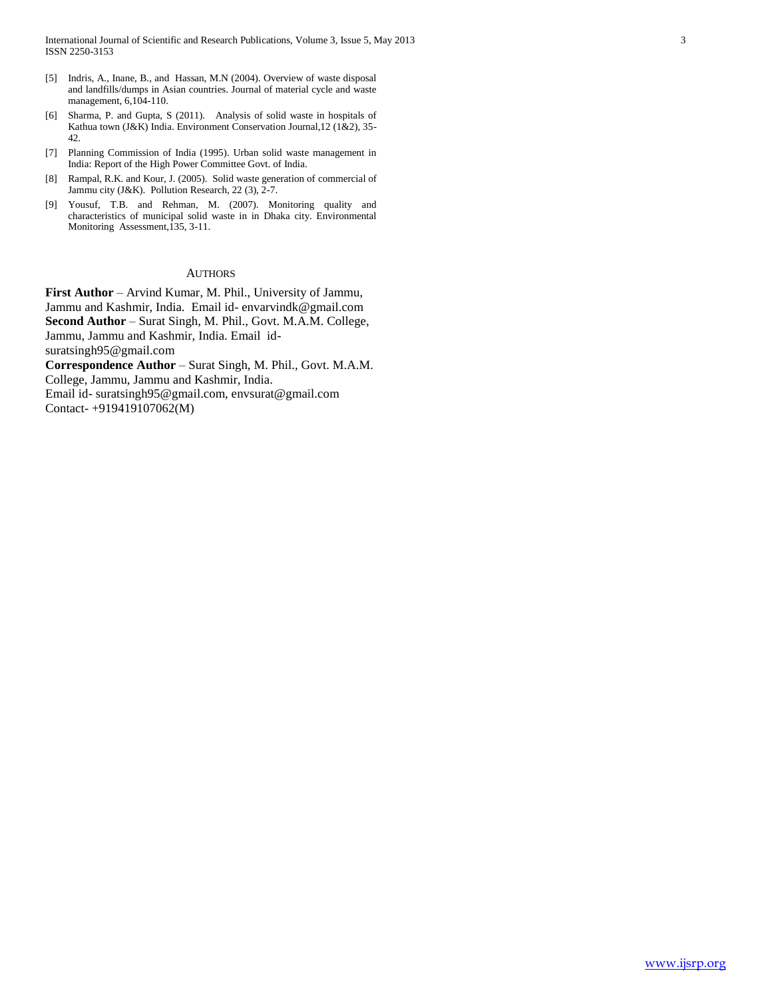- [5] Indris, A., Inane, B., and Hassan, M.N (2004). Overview of waste disposal and landfills/dumps in Asian countries. Journal of material cycle and waste management, 6,104-110.
- [6] Sharma, P. and Gupta, S (2011). Analysis of solid waste in hospitals of Kathua town (J&K) India. Environment Conservation Journal,12 (1&2), 35- 42.
- [7] Planning Commission of India (1995). Urban solid waste management in India: Report of the High Power Committee Govt. of India.
- [8] Rampal, R.K. and Kour, J. (2005). Solid waste generation of commercial of Jammu city (J&K). Pollution Research, 22 (3), 2-7.
- [9] Yousuf, T.B. and Rehman, M. (2007). Monitoring quality and characteristics of municipal solid waste in in Dhaka city. Environmental Monitoring Assessment,135, 3-11.

#### **AUTHORS**

**First Author** – Arvind Kumar, M. Phil., University of Jammu, Jammu and Kashmir, India. Email id- envarvindk@gmail.com **Second Author** – Surat Singh, M. Phil., Govt. M.A.M. College, Jammu, Jammu and Kashmir, India. Email idsuratsingh95@gmail.com **Correspondence Author** – Surat Singh, M. Phil., Govt. M.A.M. College, Jammu, Jammu and Kashmir, India.

Email id- suratsingh95@gmail.com, envsurat@gmail.com Contact- +919419107062(M)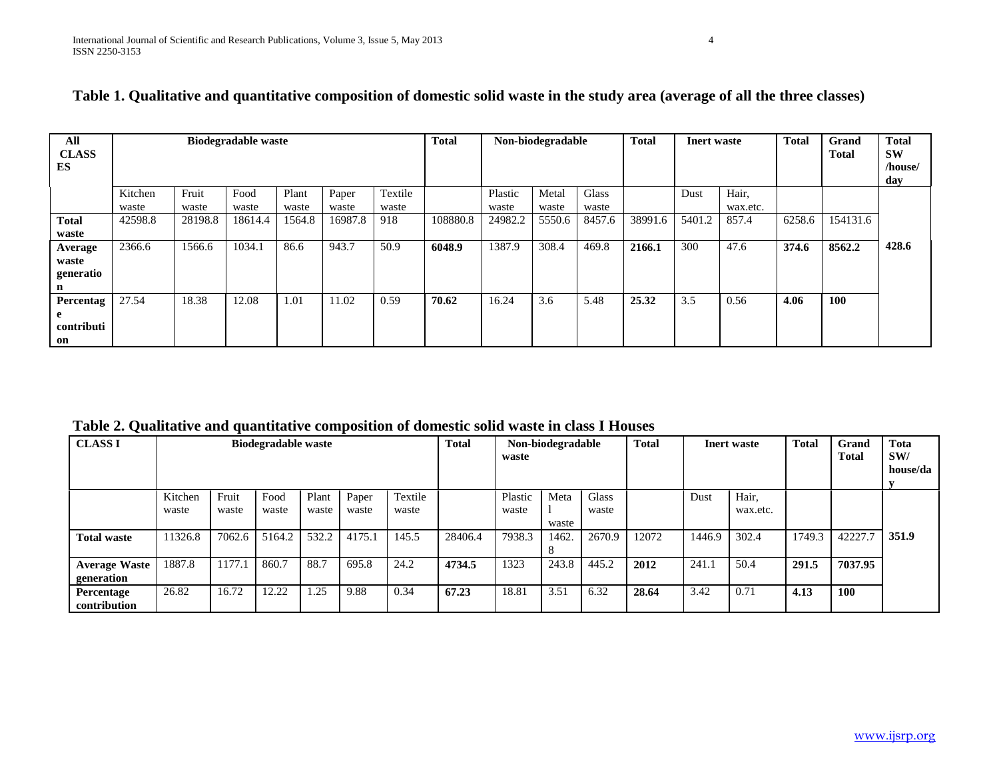| All<br><b>CLASS</b> |         |         | <b>Biodegradable waste</b> |        |         |         | <b>Total</b> |         | Non-biodegradable |        | <b>Total</b> | <b>Inert</b> waste |          | <b>Total</b> | Grand<br>Total | <b>Total</b><br><b>SW</b> |
|---------------------|---------|---------|----------------------------|--------|---------|---------|--------------|---------|-------------------|--------|--------------|--------------------|----------|--------------|----------------|---------------------------|
| ES                  |         |         |                            |        |         |         |              |         |                   |        |              |                    |          |              |                | /house/                   |
|                     |         |         |                            |        |         |         |              |         |                   |        |              |                    |          |              |                | day                       |
|                     | Kitchen | Fruit   | Food                       | Plant  | Paper   | Textile |              | Plastic | Metal             | Glass  |              | Dust               | Hair,    |              |                |                           |
|                     | waste   | waste   | waste                      | waste  | waste   | waste   |              | waste   | waste             | waste  |              |                    | wax.etc. |              |                |                           |
| <b>Total</b>        | 42598.8 | 28198.8 | 18614.4                    | 1564.8 | 16987.8 | 918     | 108880.8     | 24982.2 | 5550.6            | 8457.6 | 38991.6      | 5401.2             | 857.4    | 6258.6       | 154131.6       |                           |
| waste               |         |         |                            |        |         |         |              |         |                   |        |              |                    |          |              |                |                           |
| Average             | 2366.6  | 1566.6  | 1034.1                     | 86.6   | 943.7   | 50.9    | 6048.9       | 1387.9  | 308.4             | 469.8  | 2166.1       | 300                | 47.6     | 374.6        | 8562.2         | 428.6                     |
| waste               |         |         |                            |        |         |         |              |         |                   |        |              |                    |          |              |                |                           |
| generatio           |         |         |                            |        |         |         |              |         |                   |        |              |                    |          |              |                |                           |
|                     |         |         |                            |        |         |         |              |         |                   |        |              |                    |          |              |                |                           |
| Percentag           | 27.54   | 18.38   | 12.08                      | 1.01   | 11.02   | 0.59    | 70.62        | 16.24   | 3.6               | 5.48   | 25.32        | 3.5                | 0.56     | 4.06         | 100            |                           |
|                     |         |         |                            |        |         |         |              |         |                   |        |              |                    |          |              |                |                           |
| contributi          |         |         |                            |        |         |         |              |         |                   |        |              |                    |          |              |                |                           |
| on                  |         |         |                            |        |         |         |              |         |                   |        |              |                    |          |              |                |                           |

| Table 1. Qualitative and quantitative composition of domestic solid waste in the study area (average of all the three classes) |
|--------------------------------------------------------------------------------------------------------------------------------|
|--------------------------------------------------------------------------------------------------------------------------------|

**Table 2. Qualitative and quantitative composition of domestic solid waste in class I Houses**

| <b>CLASS I</b>                     |                  |                |               | <b>Total</b>   | Non-biodegradable<br>waste |                  |         | <b>Total</b>     | <b>Inert</b> waste |                       | <b>Total</b> | Grand<br><b>Total</b> | Tota<br>SW/<br>house/da |        |            |       |
|------------------------------------|------------------|----------------|---------------|----------------|----------------------------|------------------|---------|------------------|--------------------|-----------------------|--------------|-----------------------|-------------------------|--------|------------|-------|
|                                    | Kitchen<br>waste | Fruit<br>waste | Food<br>waste | Plant<br>waste | Paper<br>waste             | Textile<br>waste |         | Plastic<br>waste | Meta<br>waste      | <b>Glass</b><br>waste |              | Dust                  | Hair,<br>wax.etc.       |        |            |       |
| <b>Total waste</b>                 | 11326.8          | 7062.6         | 5164.2        | 532.2          | 4175.1                     | 145.5            | 28406.4 | 7938.3           | 1462.<br>$\circ$   | 2670.9                | 12072        | 1446.9                | 302.4                   | 1749.3 | 42227.7    | 351.9 |
| <b>Average Waste</b><br>generation | 1887.8           | 1177.1         | 860.7         | 88.7           | 695.8                      | 24.2             | 4734.5  | 1323             | 243.8              | 445.2                 | 2012         | 241.1                 | 50.4                    | 291.5  | 7037.95    |       |
| Percentage<br>contribution         | 26.82            | 16.72          | 12.22         | 1.25           | 9.88                       | 0.34             | 67.23   | 18.81            | 3.51               | 6.32                  | 28.64        | 3.42                  | 0.71                    | 4.13   | <b>100</b> |       |